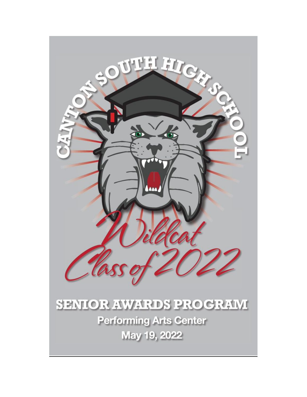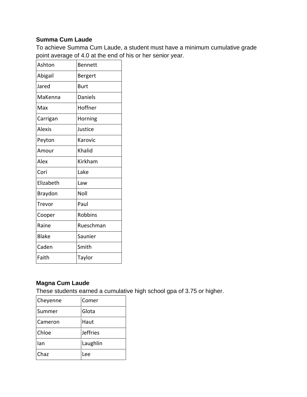# **Summa Cum Laude**

To achieve Summa Cum Laude, a student must have a minimum cumulative grade point average of 4.0 at the end of his or her senior year.

| Ashton        | <b>Bennett</b> |
|---------------|----------------|
| Abigail       | Bergert        |
| Jared         | <b>Burt</b>    |
| MaKenna       | <b>Daniels</b> |
| Max           | Hoffner        |
| Carrigan      | Horning        |
| <b>Alexis</b> | Justice        |
| Peyton        | Karovic        |
| Amour         | Khalid         |
| Alex          | Kirkham        |
| Cori          | Lake           |
| Elizabeth     | Law            |
| Braydon       | Noll           |
| Trevor        | Paul           |
| Cooper        | Robbins        |
| Raine         | Rueschman      |
| <b>Blake</b>  | Saunier        |
| Caden         | Smith          |
| Faith         | Taylor         |
|               |                |

# **Magna Cum Laude**

These students earned a cumulative high school gpa of 3.75 or higher.

| Cheyenne | Comer    |
|----------|----------|
| Summer   | Glota    |
| Cameron  | Haut     |
| Chloe    | Jeffries |
| lan      | Laughlin |
| Chaz     | Lee      |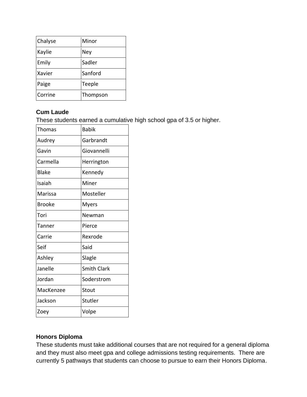| Chalyse | Minor    |
|---------|----------|
| Kaylie  | Ney      |
| Emily   | Sadler   |
| Xavier  | Sanford  |
| Paige   | Teeple   |
| Corrine | Thompson |

### **Cum Laude**

These students earned a cumulative high school gpa of 3.5 or higher.

| <b>Thomas</b> | <b>Babik</b>       |
|---------------|--------------------|
| Audrey        | Garbrandt          |
| Gavin         | Giovannelli        |
| Carmella      | Herrington         |
| Blake         | Kennedy            |
| Isaiah        | Miner              |
| Marissa       | Mosteller          |
| <b>Brooke</b> | <b>Myers</b>       |
| Tori          | Newman             |
| Tanner        | Pierce             |
| Carrie        | Rexrode            |
| Seif          | Said               |
| Ashley        | Slagle             |
| Janelle       | <b>Smith Clark</b> |
| Jordan        | Soderstrom         |
| MacKenzee     | Stout              |
| Jackson       | Stutler            |
| Zoey          | Volpe              |

### **Honors Diploma**

These students must take additional courses that are not required for a general diploma and they must also meet gpa and college admissions testing requirements. There are currently 5 pathways that students can choose to pursue to earn their Honors Diploma.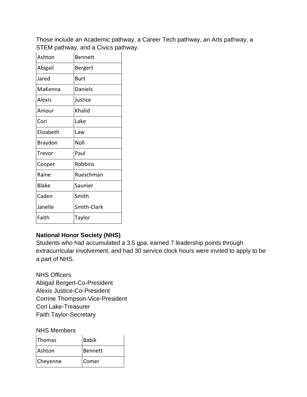Those include an Academic pathway, a Career Tech pathway, an Arts pathway, a STEM pathway, and a Civics pathway.

| Ashton    | <b>Bennett</b> |
|-----------|----------------|
| Abigail   | Bergert        |
| Jared     | Burt           |
| MaKenna   | Daniels        |
| Alexis    | Justice        |
| Amour     | Khalid         |
| Cori      | Lake           |
| Elizabeth | Law            |
| Braydon   | Noll           |
| Trevor    | Paul           |
| Cooper    | Robbins        |
| Raine     | Rueschman      |
| Blake     | Saunier        |
| Caden     | Smith          |
| Janelle   | Smith-Clark    |
| Faith     | Taylor         |

# **National Honor Society (NHS)**

Students who had accumulated a 3.5 gpa, earned 7 leadership points through extracurricular involvement, and had 30 service clock hours were invited to apply to be a part of NHS.

NHS Officers Abigail Bergert-Co-President Alexis Justice-Co-President Corrine Thompson-Vice-President Cori Lake-Treasurer Faith Taylor-Secretary

NHS Members

| <b>Thomas</b> | Babik   |
|---------------|---------|
| Ashton        | Bennett |
| Cheyenne      | lComer  |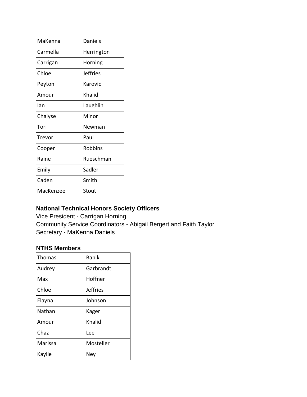| MaKenna   | Daniels         |
|-----------|-----------------|
| Carmella  | Herrington      |
| Carrigan  | Horning         |
| Chloe     | <b>Jeffries</b> |
| Peyton    | Karovic         |
| Amour     | Khalid          |
| Ian       | Laughlin        |
| Chalyse   | Minor           |
| Tori      | Newman          |
| Trevor    | Paul            |
| Cooper    | Robbins         |
| Raine     | Rueschman       |
| Emily     | Sadler          |
| Caden     | Smith           |
| MacKenzee | Stout           |
|           |                 |

# **National Technical Honors Society Officers**

Vice President - Carrigan Horning Community Service Coordinators - Abigail Bergert and Faith Taylor Secretary - MaKenna Daniels

### **NTHS Members**

| <b>Thomas</b> | <b>Babik</b>    |
|---------------|-----------------|
| Audrey        | Garbrandt       |
| Max           | Hoffner         |
| Chloe         | <b>Jeffries</b> |
| Elayna        | Johnson         |
| Nathan        | Kager           |
| Amour         | Khalid          |
| Chaz          | Lee             |
| Marissa       | Mosteller       |
| Kaylie        | Ney             |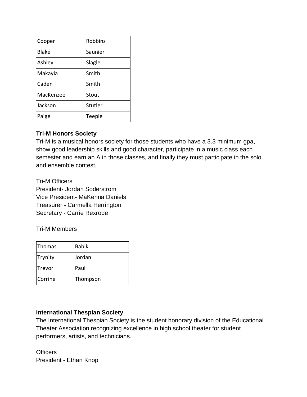| Cooper       | <b>Robbins</b> |
|--------------|----------------|
| <b>Blake</b> | Saunier        |
| Ashley       | Slagle         |
| Makayla      | Smith          |
| Caden        | Smith          |
| MacKenzee    | Stout          |
| Jackson      | Stutler        |
| Paige        | Teeple         |

# **Tri-M Honors Society**

Tri-M is a musical honors society for those students who have a 3.3 minimum gpa, show good leadership skills and good character, participate in a music class each semester and earn an A in those classes, and finally they must participate in the solo and ensemble contest.

Tri-M Officers President- Jordan Soderstrom Vice President- MaKenna Daniels Treasurer - Carmella Herrington Secretary - Carrie Rexrode

Tri-M Members

| Thomas  | <b>Babik</b> |  |
|---------|--------------|--|
| Trynity | Jordan       |  |
| Trevor  | Paul         |  |
| Corrine | Thompson     |  |

# **International Thespian Society**

The International Thespian Society is the student honorary division of the Educational Theater Association recognizing excellence in high school theater for student performers, artists, and technicians.

**Officers** President - Ethan Knop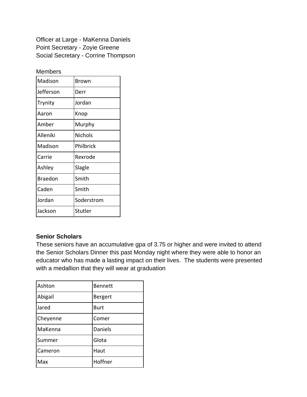Officer at Large - MaKenna Daniels Point Secretary - Zoyie Greene Social Secretary - Corrine Thompson

#### Members

| Madison        | Brown      |
|----------------|------------|
| Jefferson      | Derr       |
| Trynity        | Jordan     |
| Aaron          | Knop       |
| Amber          | Murphy     |
| Alleniki       | Nichols    |
| Madison        | Philbrick  |
| Carrie         | Rexrode    |
| Ashley         | Slagle     |
| <b>Braedon</b> | Smith      |
| Caden          | Smith      |
| Jordan         | Soderstrom |
| Jackson        | Stutler    |

### **Senior Scholars**

These seniors have an accumulative gpa of 3.75 or higher and were invited to attend the Senior Scholars Dinner this past Monday night where they were able to honor an educator who has made a lasting impact on their lives. The students were presented with a medallion that they will wear at graduation

| Ashton   | <b>Bennett</b> |
|----------|----------------|
| Abigail  | Bergert        |
| Jared    | Burt           |
| Cheyenne | Comer          |
| MaKenna  | Daniels        |
| Summer   | Glota          |
| Cameron  | Haut           |
| Max      | Hoffner        |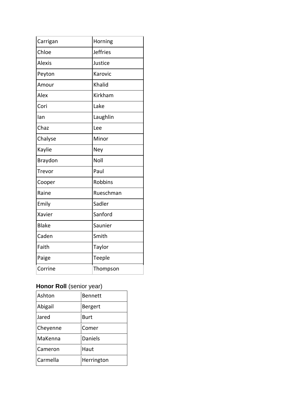| Carrigan      | Horning         |
|---------------|-----------------|
| Chloe         | <b>Jeffries</b> |
| <b>Alexis</b> | Justice         |
| Peyton        | Karovic         |
| Amour         | Khalid          |
| Alex          | Kirkham         |
| Cori          | Lake            |
| lan           | Laughlin        |
| Chaz          | Lee             |
| Chalyse       | Minor           |
| Kaylie        | Ney             |
| Braydon       | Noll            |
| Trevor        | Paul            |
| Cooper        | <b>Robbins</b>  |
| Raine         | Rueschman       |
| Emily         | Sadler          |
| Xavier        | Sanford         |
| <b>Blake</b>  | Saunier         |
| Caden         | Smith           |
| Faith         | Taylor          |
| Paige         | Teeple          |
| Corrine       | Thompson        |

# **Honor Roll** (senior year)

| Ashton   | <b>Bennett</b> |
|----------|----------------|
| Abigail  | <b>Bergert</b> |
| Jared    | <b>Burt</b>    |
| Cheyenne | Comer          |
| MaKenna  | Daniels        |
| Cameron  | Haut           |
| Carmella | Herrington     |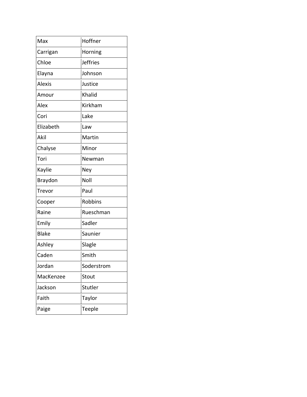| Max           | Hoffner         |
|---------------|-----------------|
|               |                 |
| Carrigan      | Horning         |
| Chloe         | <b>Jeffries</b> |
| Elayna        | Johnson         |
| <b>Alexis</b> | Justice         |
| Amour         | Khalid          |
| Alex          | Kirkham         |
| Cori          | Lake            |
| Elizabeth     | Law             |
| Akil          | Martin          |
| Chalyse       | Minor           |
| Tori          | Newman          |
| Kaylie        | Ney             |
| Braydon       | Noll            |
| Trevor        | Paul            |
| Cooper        | Robbins         |
| Raine         | Rueschman       |
| Emily         | Sadler          |
| <b>Blake</b>  | Saunier         |
| Ashley        | Slagle          |
| Caden         | Smith           |
| Jordan        | Soderstrom      |
| MacKenzee     | Stout           |
| Jackson       | Stutler         |
| Faith         | Taylor          |
| Paige         | Teeple          |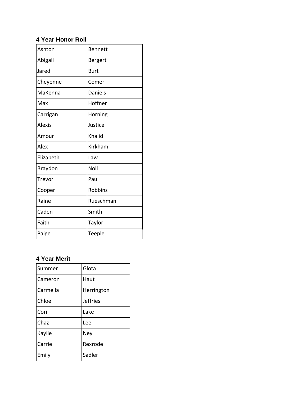# **4 Year Honor Roll**

| Ashton        | <b>Bennett</b> |
|---------------|----------------|
| Abigail       | Bergert        |
| Jared         | <b>Burt</b>    |
| Cheyenne      | Comer          |
| MaKenna       | Daniels        |
| Max           | Hoffner        |
| Carrigan      | Horning        |
| <b>Alexis</b> | Justice        |
| Amour         | Khalid         |
| Alex          | Kirkham        |
| Elizabeth     | Law            |
| Braydon       | Noll           |
| Trevor        | Paul           |
| Cooper        | <b>Robbins</b> |
| Raine         | Rueschman      |
| Caden         | Smith          |
| Faith         | Taylor         |
| Paige         | Teeple         |

# **4 Year Merit**

| Summer   | Glota           |
|----------|-----------------|
| Cameron  | Haut            |
| Carmella | Herrington      |
| Chloe    | <b>Jeffries</b> |
| Cori     | Lake            |
| Chaz     | Lee             |
| Kaylie   | Ney             |
| Carrie   | Rexrode         |
| Emily    | Sadler          |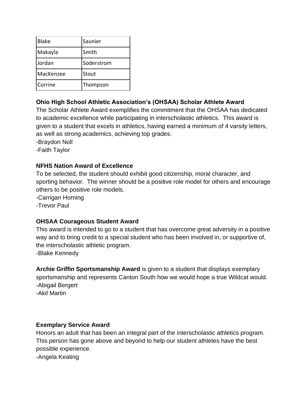| <b>Blake</b> | Saunier    |
|--------------|------------|
| Makayla      | Smith      |
| Jordan       | Soderstrom |
| MacKenzee    | Stout      |
| Corrine      | Thompson   |

# **Ohio High School Athletic Association's (OHSAA) Scholar Athlete Award**

The Scholar Athlete Award exemplifies the commitment that the OHSAA has dedicated to academic excellence while participating in interscholastic athletics. This award is given to a student that excels in athletics, having earned a minimum of 4 varsity letters, as well as strong academics, achieving top grades.

-Braydon Noll

-Faith Taylor

# **NFHS Nation Award of Excellence**

To be selected, the student should exhibit good citizenship, moral character, and sporting behavior. The winner should be a positive role model for others and encourage others to be positive role models.

-Carrigan Horning

-Trevor Paul

# **OHSAA Courageous Student Award**

This award is intended to go to a student that has overcome great adversity in a positive way and to bring credit to a special student who has been involved in, or supportive of, the interscholastic athletic program.

-Blake Kennedy

**Archie Griffin Sportsmanship Award** is given to a student that displays exemplary sportsmanship and represents Canton South how we would hope a true Wildcat would. -Abigail Bergert

-Akil Martin

# **Exemplary Service Award**

Honors an adult that has been an integral part of the interscholastic athletics program. This person has gone above and beyond to help our student athletes have the best possible experience.

-Angela Keating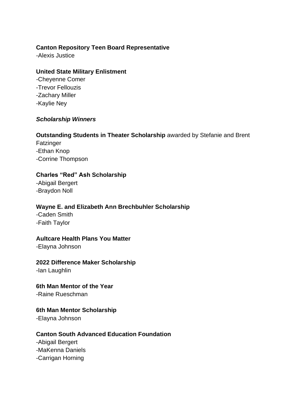### **Canton Repository Teen Board Representative**

-Alexis Justice

#### **United State Military Enlistment**

*-*Cheyenne Comer -Trevor Fellouzis -Zachary Miller -Kaylie Ney

### *Scholarship Winners*

#### **Outstanding Students in Theater Scholarship** awarded by Stefanie and Brent

**Fatzinger** -Ethan Knop -Corrine Thompson

### **Charles "Red" Ash Scholarship**

-Abigail Bergert -Braydon Noll

#### **Wayne E. and Elizabeth Ann Brechbuhler Scholarship**

-Caden Smith -Faith Taylor

### **Aultcare Health Plans You Matter**

-Elayna Johnson

#### **2022 Difference Maker Scholarship**

-Ian Laughlin

### **6th Man Mentor of the Year**

-Raine Rueschman

#### **6th Man Mentor Scholarship**

-Elayna Johnson

### **Canton South Advanced Education Foundation**

-Abigail Bergert -MaKenna Daniels -Carrigan Horning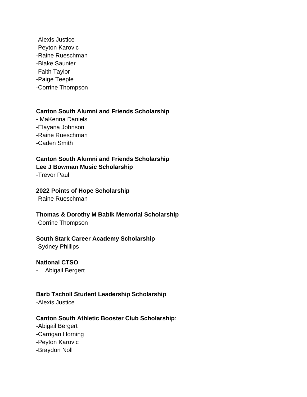-Alexis Justice -Peyton Karovic -Raine Rueschman -Blake Saunier -Faith Taylor -Paige Teeple -Corrine Thompson

### **Canton South Alumni and Friends Scholarship**

- MaKenna Daniels -Elayana Johnson -Raine Rueschman -Caden Smith

**Canton South Alumni and Friends Scholarship Lee J Bowman Music Scholarship** -Trevor Paul

**2022 Points of Hope Scholarship**

-Raine Rueschman

#### **Thomas & Dorothy M Babik Memorial Scholarship**

-Corrine Thompson

#### **South Stark Career Academy Scholarship**

-Sydney Phillips

### **National CTSO**

- Abigail Bergert

#### **Barb Tscholl Student Leadership Scholarship**

-Alexis Justice

### **Canton South Athletic Booster Club Scholarship**:

- -Abigail Bergert
- -Carrigan Horning
- -Peyton Karovic
- -Braydon Noll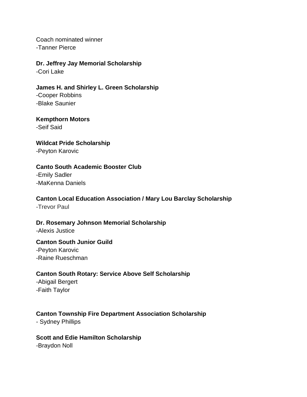Coach nominated winner -Tanner Pierce

**Dr. Jeffrey Jay Memorial Scholarship** -Cori Lake

**James H. and Shirley L. Green Scholarship** -Cooper Robbins -Blake Saunier

**Kempthorn Motors** -Seif Said

**Wildcat Pride Scholarship** -Peyton Karovic

# **Canto South Academic Booster Club**

-Emily Sadler -MaKenna Daniels

### **Canton Local Education Association / Mary Lou Barclay Scholarship**

-Trevor Paul

# **Dr. Rosemary Johnson Memorial Scholarship**

-Alexis Justice

#### **Canton South Junior Guild**

-Peyton Karovic -Raine Rueschman

### **Canton South Rotary: Service Above Self Scholarship**

-Abigail Bergert -Faith Taylor

# **Canton Township Fire Department Association Scholarship**

- Sydney Phillips

### **Scott and Edie Hamilton Scholarship** -Braydon Noll